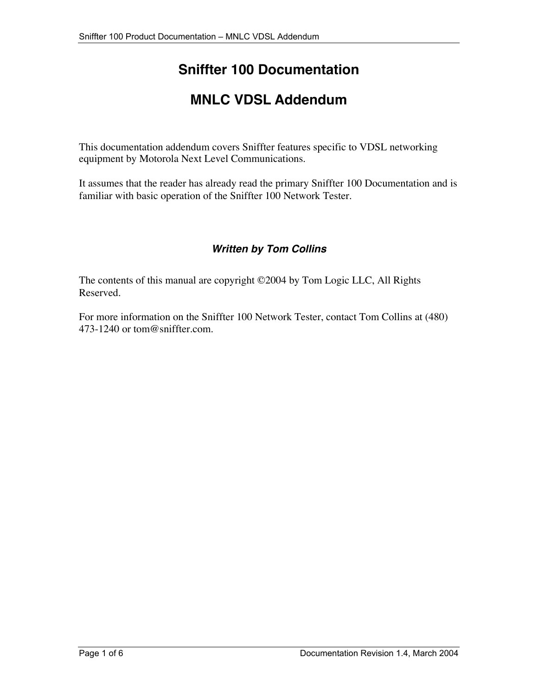# **Sniffter 100 Documentation**

# **MNLC VDSL Addendum**

This documentation addendum covers Sniffter features specific to VDSL networking equipment by Motorola Next Level Communications.

It assumes that the reader has already read the primary Sniffter 100 Documentation and is familiar with basic operation of the Sniffter 100 Network Tester.

### **Written by Tom Collins**

The contents of this manual are copyright ©2004 by Tom Logic LLC, All Rights Reserved.

For more information on the Sniffter 100 Network Tester, contact Tom Collins at (480) 473-1240 or tom@sniffter.com.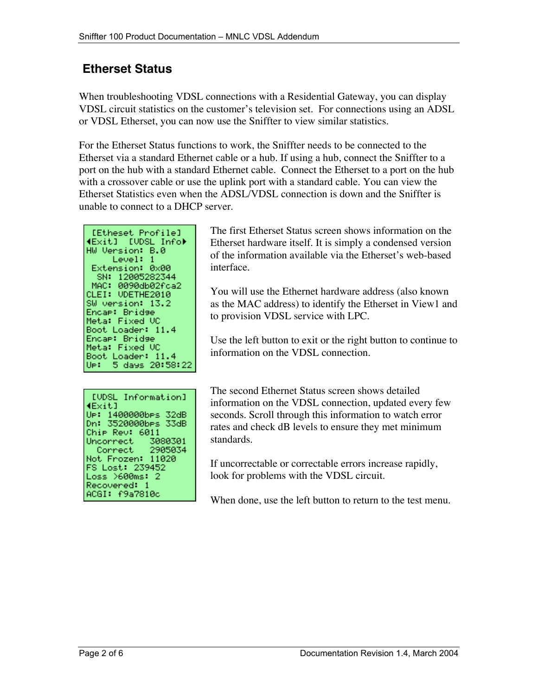## **Etherset Status**

When troubleshooting VDSL connections with a Residential Gateway, you can display VDSL circuit statistics on the customer's television set. For connections using an ADSL or VDSL Etherset, you can now use the Sniffter to view similar statistics.

For the Etherset Status functions to work, the Sniffter needs to be connected to the Etherset via a standard Ethernet cable or a hub. If using a hub, connect the Sniffter to a port on the hub with a standard Ethernet cable. Connect the Etherset to a port on the hub with a crossover cable or use the uplink port with a standard cable. You can view the Etherset Statistics even when the ADSL/VDSL connection is down and the Sniffter is unable to connect to a DHCP server.

[Etheset Profile] (Exit) [UDSL Info) HW Version: B.0 Level: 1 Extension: 0x00 SN: 12005282344 MAC: 0090db02fca2 CLEI: UDETHE2010 SW version: 13.2 Encap: Bridge Meta: Fixed UC Boot Loader: 11.4 Encap: Bridge Meta: Fixed UC Boot Loader: 11.4 UP: 5 days 20:58:22

The first Etherset Status screen shows information on the Etherset hardware itself. It is simply a condensed version of the information available via the Etherset's web-based interface.

You will use the Ethernet hardware address (also known as the MAC address) to identify the Etherset in View1 and to provision VDSL service with LPC.

Use the left button to exit or the right button to continue to information on the VDSL connection.

The second Ethernet Status screen shows detailed information on the VDSL connection, updated every few seconds. Scroll through this information to watch error rates and check dB levels to ensure they met minimum standards.

If uncorrectable or correctable errors increase rapidly, look for problems with the VDSL circuit.

When done, use the left button to return to the test menu.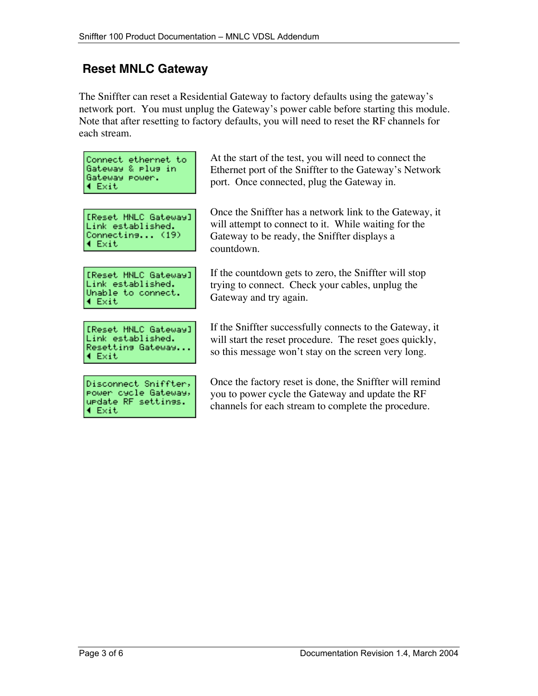### **Reset MNLC Gateway**

The Sniffter can reset a Residential Gateway to factory defaults using the gateway's network port. You must unplug the Gateway's power cable before starting this module. Note that after resetting to factory defaults, you will need to reset the RF channels for each stream.

|                      | Connect ethernet to |
|----------------------|---------------------|
|                      | Gateway & Plus in   |
| Gateway Power.       |                     |
| $\triangleleft$ Exit |                     |

[Reset MNLC Gateway] Link established. Connectins... (19) 4 Exit

[Reset MNLC Gateway] Link established. Unable to connect. 4 Exit

[Reset MNLC Gateway] Link established. Resetting Gateway... 4 Exit

Disconnect Sniffter, Power cycle Gateway, urdate RF settings. 4 Exit

At the start of the test, you will need to connect the Ethernet port of the Sniffter to the Gateway's Network port. Once connected, plug the Gateway in.

Once the Sniffter has a network link to the Gateway, it will attempt to connect to it. While waiting for the Gateway to be ready, the Sniffter displays a countdown.

If the countdown gets to zero, the Sniffter will stop trying to connect. Check your cables, unplug the Gateway and try again.

If the Sniffter successfully connects to the Gateway, it will start the reset procedure. The reset goes quickly, so this message won't stay on the screen very long.

Once the factory reset is done, the Sniffter will remind you to power cycle the Gateway and update the RF channels for each stream to complete the procedure.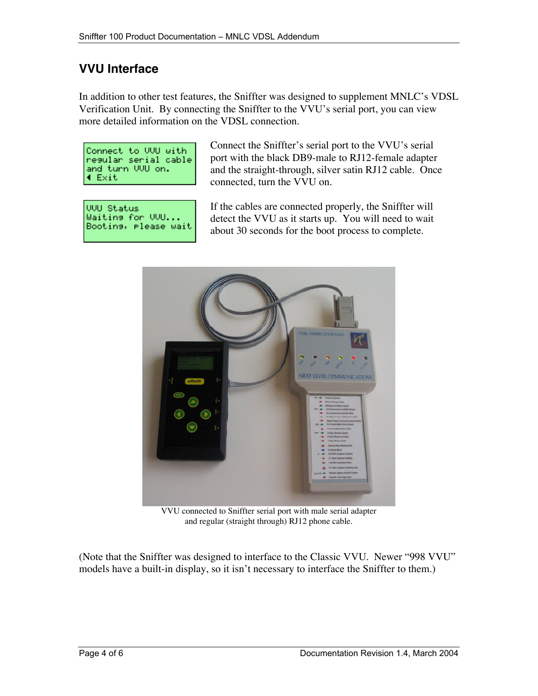## **VVU Interface**

In addition to other test features, the Sniffter was designed to supplement MNLC's VDSL Verification Unit. By connecting the Sniffter to the VVU's serial port, you can view more detailed information on the VDSL connection.

| Connect to UUU with  |  |  |
|----------------------|--|--|
| resular serial cable |  |  |
| and turn VVU on.     |  |  |
| 4 Exit               |  |  |

VVU Status Waitins for VVU... Bootins, Please wait Connect the Sniffter's serial port to the VVU's serial port with the black DB9-male to RJ12-female adapter and the straight-through, silver satin RJ12 cable. Once connected, turn the VVU on.

If the cables are connected properly, the Sniffter will detect the VVU as it starts up. You will need to wait about 30 seconds for the boot process to complete.



VVU connected to Sniffter serial port with male serial adapter and regular (straight through) RJ12 phone cable.

(Note that the Sniffter was designed to interface to the Classic VVU. Newer "998 VVU" models have a built-in display, so it isn't necessary to interface the Sniffter to them.)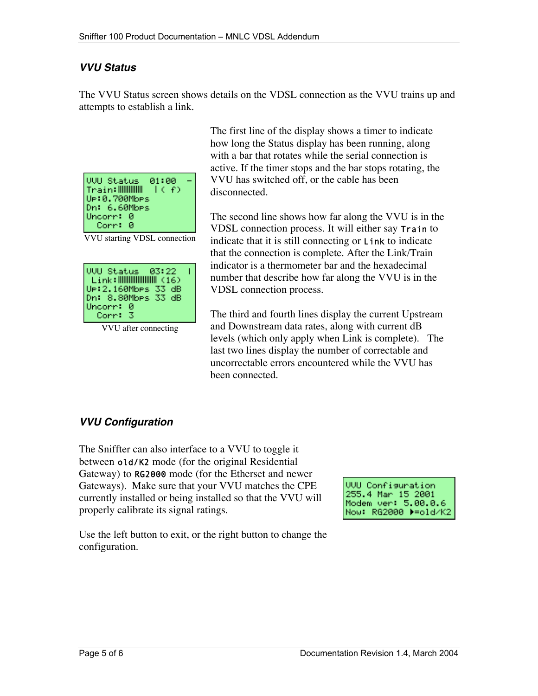#### **VVU Status**

The VVU Status screen shows details on the VDSL connection as the VVU trains up and attempts to establish a link.

| VVU Status  01:00<br>しくそう<br>Ue:0.700Mbes<br>Dn: 6.60Mbes<br>Uncorr: 0 |  |
|------------------------------------------------------------------------|--|
| Corr: 0                                                                |  |

VVU starting VDSL connection

| UP:2.160MbPs 33 dB<br>Dn: 8.80MbPs 33 dB |  |
|------------------------------------------|--|
| Uncorr: 0<br>Corr: 3                     |  |

VVU after connecting

The first line of the display shows a timer to indicate how long the Status display has been running, along with a bar that rotates while the serial connection is active. If the timer stops and the bar stops rotating, the VVU has switched off, or the cable has been disconnected.

The second line shows how far along the VVU is in the VDSL connection process. It will either say Train to indicate that it is still connecting or Link to indicate that the connection is complete. After the Link/Train indicator is a thermometer bar and the hexadecimal number that describe how far along the VVU is in the VDSL connection process.

The third and fourth lines display the current Upstream and Downstream data rates, along with current dB levels (which only apply when Link is complete). The last two lines display the number of correctable and uncorrectable errors encountered while the VVU has been connected.

### **VVU Configuration**

The Sniffter can also interface to a VVU to toggle it between old/K2 mode (for the original Residential Gateway) to RG2000 mode (for the Etherset and newer Gateways). Make sure that your VVU matches the CPE currently installed or being installed so that the VVU will properly calibrate its signal ratings.

**VVU Configuration** 255.4 Mar 15 2001 Modem ver: 5.00.0.6 Now: RG2000 >=old/K2

Use the left button to exit, or the right button to change the configuration.